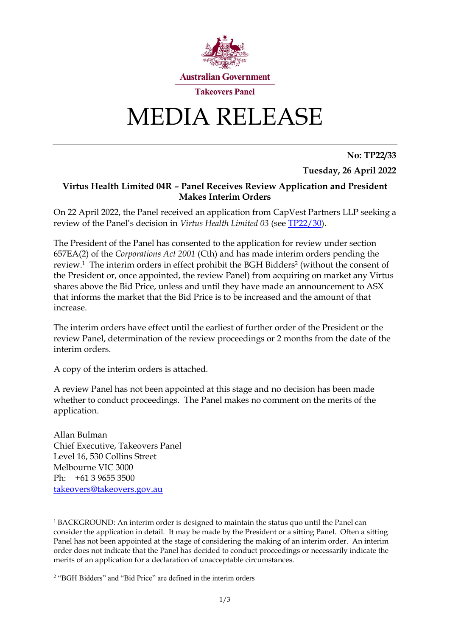

# MEDIA RELEASE

**No: TP22/33**

**Tuesday, 26 April 2022**

### **Virtus Health Limited 04R – Panel Receives Review Application and President Makes Interim Orders**

On 22 April 2022, the Panel received an application from CapVest Partners LLP seeking a review of the Panel's decision in *Virtus Health Limited 03* (see [TP22/30\)](https://www.takeovers.gov.au/content/DisplayDoc.aspx?doc=media_releases/2022/030.htm&pageID=&Year=).

The President of the Panel has consented to the application for review under section 657EA(2) of the *Corporations Act 2001* (Cth) and has made interim orders pending the review.<sup>1</sup> The interim orders in effect prohibit the BGH Bidders<sup>2</sup> (without the consent of the President or, once appointed, the review Panel) from acquiring on market any Virtus shares above the Bid Price, unless and until they have made an announcement to ASX that informs the market that the Bid Price is to be increased and the amount of that increase.

The interim orders have effect until the earliest of further order of the President or the review Panel, determination of the review proceedings or 2 months from the date of the interim orders.

A copy of the interim orders is attached.

A review Panel has not been appointed at this stage and no decision has been made whether to conduct proceedings. The Panel makes no comment on the merits of the application.

Allan Bulman Chief Executive, Takeovers Panel Level 16, 530 Collins Street Melbourne VIC 3000 Ph: +61 3 9655 3500 [takeovers@takeovers.gov.au](mailto:takeovers@takeovers.gov.au)

<sup>&</sup>lt;sup>1</sup> BACKGROUND: An interim order is designed to maintain the status quo until the Panel can consider the application in detail. It may be made by the President or a sitting Panel. Often a sitting Panel has not been appointed at the stage of considering the making of an interim order. An interim order does not indicate that the Panel has decided to conduct proceedings or necessarily indicate the merits of an application for a declaration of unacceptable circumstances.

<sup>2</sup> "BGH Bidders" and "Bid Price" are defined in the interim orders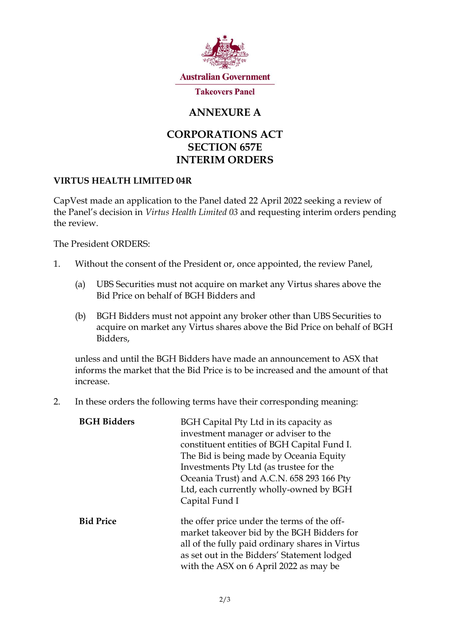

## **ANNEXURE A**

## **CORPORATIONS ACT SECTION 657E INTERIM ORDERS**

### **VIRTUS HEALTH LIMITED 04R**

CapVest made an application to the Panel dated 22 April 2022 seeking a review of the Panel's decision in *Virtus Health Limited 03* and requesting interim orders pending the review.

The President ORDERS:

- 1. Without the consent of the President or, once appointed, the review Panel,
	- (a) UBS Securities must not acquire on market any Virtus shares above the Bid Price on behalf of BGH Bidders and
	- (b) BGH Bidders must not appoint any broker other than UBS Securities to acquire on market any Virtus shares above the Bid Price on behalf of BGH Bidders,

unless and until the BGH Bidders have made an announcement to ASX that informs the market that the Bid Price is to be increased and the amount of that increase.

2. In these orders the following terms have their corresponding meaning:

| <b>BGH Bidders</b> | BGH Capital Pty Ltd in its capacity as                                                                                                                                                                                                |
|--------------------|---------------------------------------------------------------------------------------------------------------------------------------------------------------------------------------------------------------------------------------|
|                    | investment manager or adviser to the                                                                                                                                                                                                  |
|                    | constituent entities of BGH Capital Fund I.                                                                                                                                                                                           |
|                    | The Bid is being made by Oceania Equity                                                                                                                                                                                               |
|                    | Investments Pty Ltd (as trustee for the                                                                                                                                                                                               |
|                    | Oceania Trust) and A.C.N. 658 293 166 Pty                                                                                                                                                                                             |
|                    | Ltd, each currently wholly-owned by BGH                                                                                                                                                                                               |
|                    | Capital Fund I                                                                                                                                                                                                                        |
| <b>Bid Price</b>   | the offer price under the terms of the off-<br>market takeover bid by the BGH Bidders for<br>all of the fully paid ordinary shares in Virtus<br>as set out in the Bidders' Statement lodged<br>with the ASX on 6 April 2022 as may be |